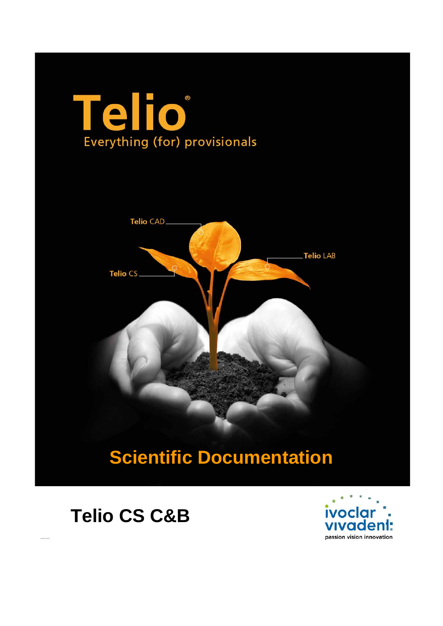### **eli**  $\circledR$  $\bigcap$ Everything (for) provisionals



# **Scientific Documentation**

## **Telio CS C&B**

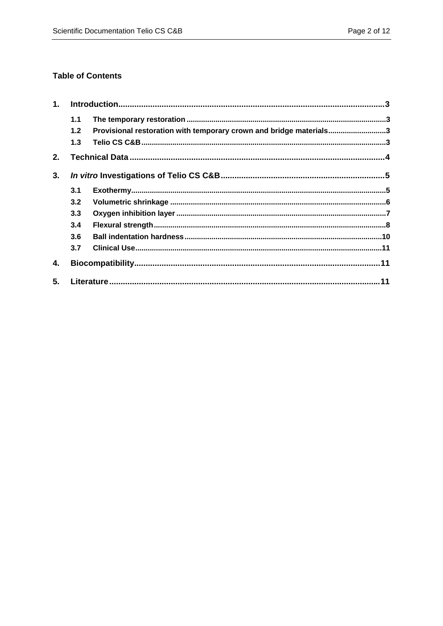### **Table of Contents**

| 1. |     |                                                                    |  |  |
|----|-----|--------------------------------------------------------------------|--|--|
|    | 1.1 |                                                                    |  |  |
|    | 1.2 | Provisional restoration with temporary crown and bridge materials3 |  |  |
|    | 1.3 |                                                                    |  |  |
| 2. |     |                                                                    |  |  |
| 3. |     |                                                                    |  |  |
|    | 3.1 |                                                                    |  |  |
|    | 3.2 |                                                                    |  |  |
|    | 3.3 |                                                                    |  |  |
|    | 3.4 |                                                                    |  |  |
|    | 3.6 |                                                                    |  |  |
|    | 3.7 |                                                                    |  |  |
| 4. |     |                                                                    |  |  |
| 5. |     |                                                                    |  |  |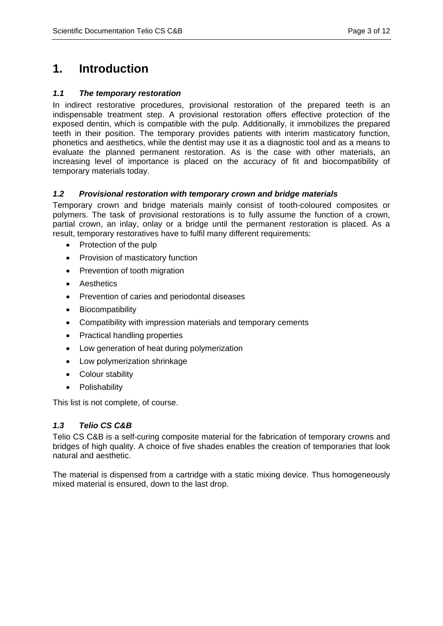### **1. Introduction**

#### *1.1 The temporary restoration*

In indirect restorative procedures, provisional restoration of the prepared teeth is an indispensable treatment step. A provisional restoration offers effective protection of the exposed dentin, which is compatible with the pulp. Additionally, it immobilizes the prepared teeth in their position. The temporary provides patients with interim masticatory function, phonetics and aesthetics, while the dentist may use it as a diagnostic tool and as a means to evaluate the planned permanent restoration. As is the case with other materials, an increasing level of importance is placed on the accuracy of fit and biocompatibility of temporary materials today.

#### *1.2 Provisional restoration with temporary crown and bridge materials*

Temporary crown and bridge materials mainly consist of tooth-coloured composites or polymers. The task of provisional restorations is to fully assume the function of a crown, partial crown, an inlay, onlay or a bridge until the permanent restoration is placed. As a result, temporary restoratives have to fulfil many different requirements:

- Protection of the pulp
- Provision of masticatory function
- Prevention of tooth migration
- Aesthetics
- Prevention of caries and periodontal diseases
- Biocompatibility
- Compatibility with impression materials and temporary cements
- Practical handling properties
- Low generation of heat during polymerization
- Low polymerization shrinkage
- Colour stability
- Polishability

This list is not complete, of course.

#### *1.3 Telio CS C&B*

Telio CS C&B is a self-curing composite material for the fabrication of temporary crowns and bridges of high quality. A choice of five shades enables the creation of temporaries that look natural and aesthetic.

The material is dispensed from a cartridge with a static mixing device. Thus homogeneously mixed material is ensured, down to the last drop.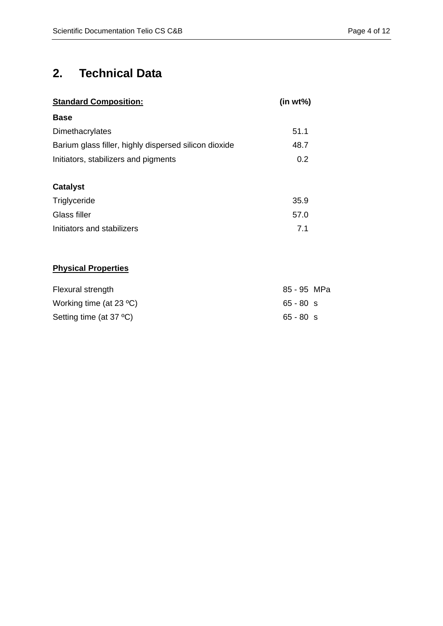### **2. Technical Data**

| <b>Standard Composition:</b>                          | (in wt%) |  |
|-------------------------------------------------------|----------|--|
| <b>Base</b>                                           |          |  |
| Dimethacrylates                                       | 51.1     |  |
| Barium glass filler, highly dispersed silicon dioxide | 48.7     |  |
| Initiators, stabilizers and pigments                  | 0.2      |  |
|                                                       |          |  |
| <b>Catalyst</b>                                       |          |  |
| Triglyceride                                          | 35.9     |  |
| Glass filler                                          | 57.0     |  |
| Initiators and stabilizers                            | 7.1      |  |
|                                                       |          |  |

### **Physical Properties**

| Flexural strength                         | 85 - 95 MPa |  |
|-------------------------------------------|-------------|--|
| Working time (at $23 \text{ }^{\circ}C$ ) | $65 - 80$ s |  |
| Setting time (at $37 \text{ }^{\circ}C$ ) | $65 - 80$ s |  |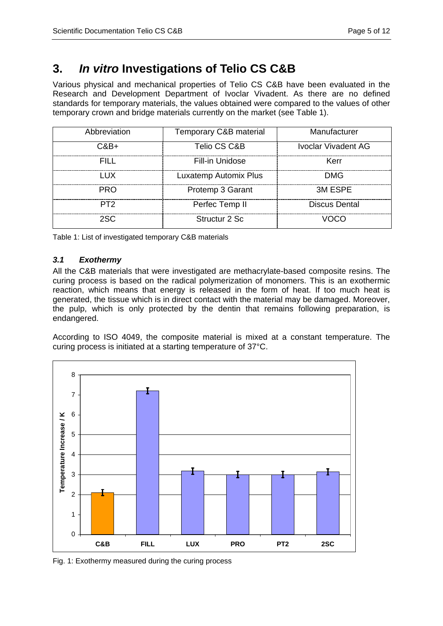### **3.** *In vitro* **Investigations of Telio CS C&B**

Various physical and mechanical properties of Telio CS C&B have been evaluated in the Research and Development Department of Ivoclar Vivadent. As there are no defined standards for temporary materials, the values obtained were compared to the values of other temporary crown and bridge materials currently on the market (see Table 1).

| Abbreviation    | Temporary C&B material | Manufacturer        |  |  |  |
|-----------------|------------------------|---------------------|--|--|--|
| C&B+            | Telio CS C&B           | Ivoclar Vivadent AG |  |  |  |
| EILL.           | Fill-in Unidose        | Kerr                |  |  |  |
| <b>IIX</b>      | Luxatemp Automix Plus  | <b>DMG</b>          |  |  |  |
| <b>PRO</b>      | Protemp 3 Garant       | 3M ESPE             |  |  |  |
| PT <sub>2</sub> | Perfec Temp II         | Discus Dental       |  |  |  |
| 2SC.            | Structur 2 Sc          |                     |  |  |  |

Table 1: List of investigated temporary C&B materials

### *3.1 Exothermy*

All the C&B materials that were investigated are methacrylate-based composite resins. The curing process is based on the radical polymerization of monomers. This is an exothermic reaction, which means that energy is released in the form of heat. If too much heat is generated, the tissue which is in direct contact with the material may be damaged. Moreover, the pulp, which is only protected by the dentin that remains following preparation, is endangered.

According to ISO 4049, the composite material is mixed at a constant temperature. The curing process is initiated at a starting temperature of 37°C.



Fig. 1: Exothermy measured during the curing process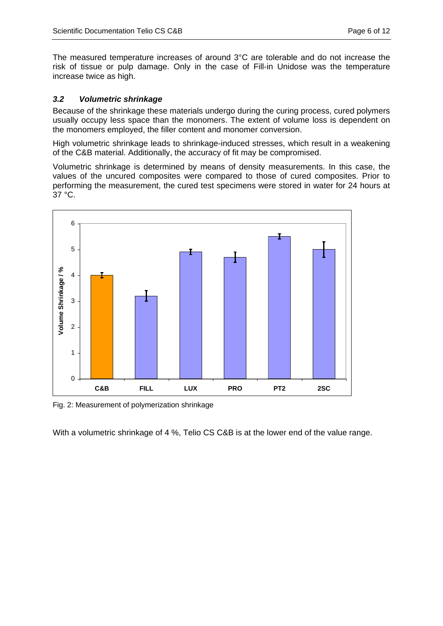The measured temperature increases of around 3°C are tolerable and do not increase the risk of tissue or pulp damage. Only in the case of Fill-in Unidose was the temperature increase twice as high.

#### *3.2 Volumetric shrinkage*

Because of the shrinkage these materials undergo during the curing process, cured polymers usually occupy less space than the monomers. The extent of volume loss is dependent on the monomers employed, the filler content and monomer conversion.

High volumetric shrinkage leads to shrinkage-induced stresses, which result in a weakening of the C&B material. Additionally, the accuracy of fit may be compromised.

Volumetric shrinkage is determined by means of density measurements. In this case, the values of the uncured composites were compared to those of cured composites. Prior to performing the measurement, the cured test specimens were stored in water for 24 hours at 37 °C.



Fig. 2: Measurement of polymerization shrinkage

With a volumetric shrinkage of 4 %, Telio CS C&B is at the lower end of the value range.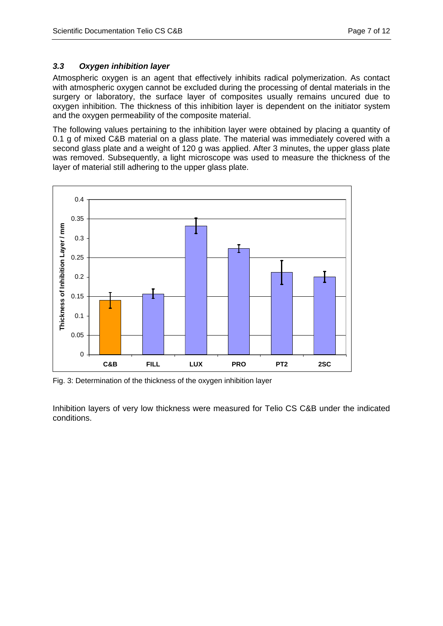#### *3.3 Oxygen inhibition layer*

Atmospheric oxygen is an agent that effectively inhibits radical polymerization. As contact with atmospheric oxygen cannot be excluded during the processing of dental materials in the surgery or laboratory, the surface layer of composites usually remains uncured due to oxygen inhibition. The thickness of this inhibition layer is dependent on the initiator system and the oxygen permeability of the composite material.

The following values pertaining to the inhibition layer were obtained by placing a quantity of 0.1 g of mixed C&B material on a glass plate. The material was immediately covered with a second glass plate and a weight of 120 g was applied. After 3 minutes, the upper glass plate was removed. Subsequently, a light microscope was used to measure the thickness of the layer of material still adhering to the upper glass plate.



Fig. 3: Determination of the thickness of the oxygen inhibition layer

Inhibition layers of very low thickness were measured for Telio CS C&B under the indicated conditions.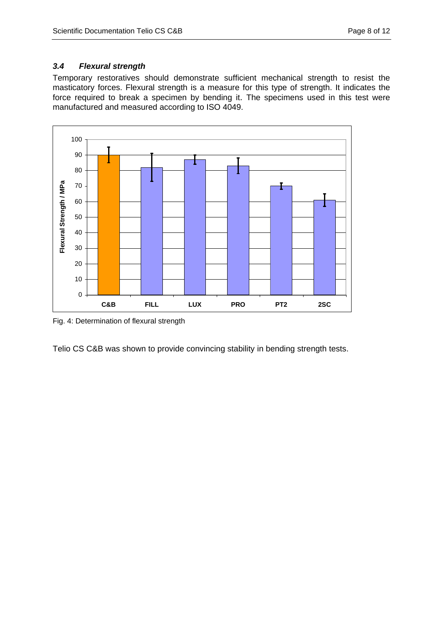### *3.4 Flexural strength*

Temporary restoratives should demonstrate sufficient mechanical strength to resist the masticatory forces. Flexural strength is a measure for this type of strength. It indicates the force required to break a specimen by bending it. The specimens used in this test were manufactured and measured according to ISO 4049.



Fig. 4: Determination of flexural strength

Telio CS C&B was shown to provide convincing stability in bending strength tests.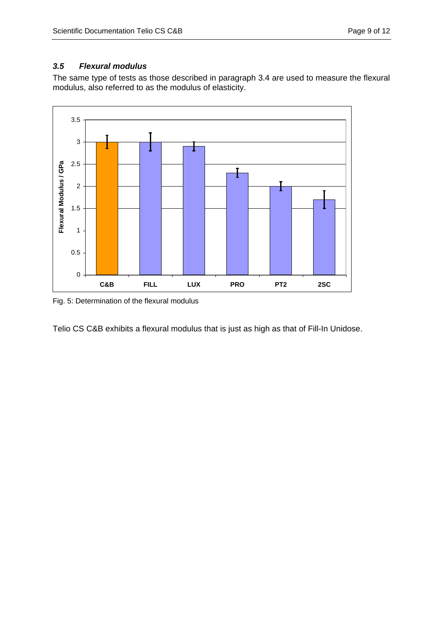### *3.5 Flexural modulus*

The same type of tests as those described in paragraph 3.4 are used to measure the flexural modulus, also referred to as the modulus of elasticity.



Fig. 5: Determination of the flexural modulus

Telio CS C&B exhibits a flexural modulus that is just as high as that of Fill-In Unidose.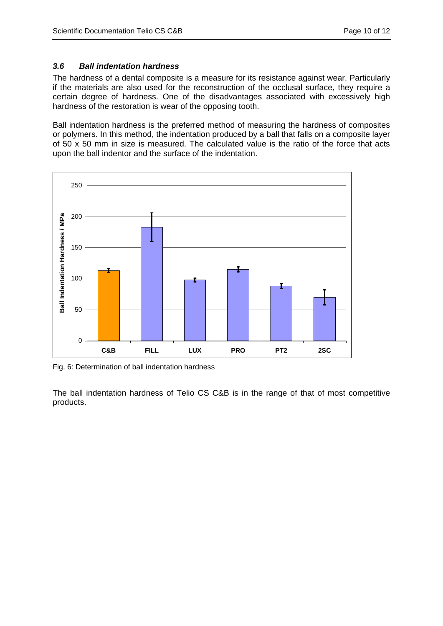#### *3.6 Ball indentation hardness*

The hardness of a dental composite is a measure for its resistance against wear. Particularly if the materials are also used for the reconstruction of the occlusal surface, they require a certain degree of hardness. One of the disadvantages associated with excessively high hardness of the restoration is wear of the opposing tooth.

Ball indentation hardness is the preferred method of measuring the hardness of composites or polymers. In this method, the indentation produced by a ball that falls on a composite layer of 50 x 50 mm in size is measured. The calculated value is the ratio of the force that acts upon the ball indentor and the surface of the indentation.



Fig. 6: Determination of ball indentation hardness

The ball indentation hardness of Telio CS C&B is in the range of that of most competitive products.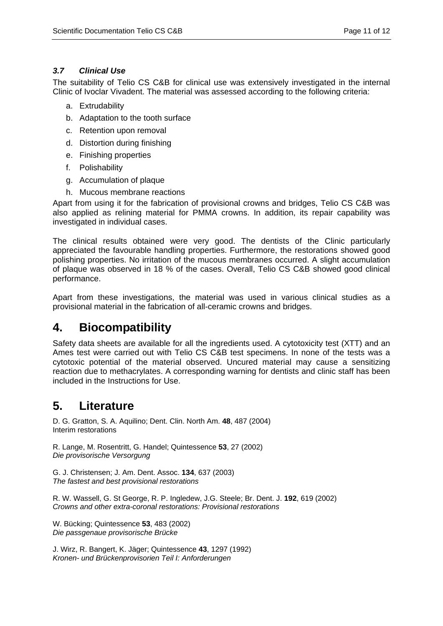### *3.7 Clinical Use*

The suitability of Telio CS C&B for clinical use was extensively investigated in the internal Clinic of Ivoclar Vivadent. The material was assessed according to the following criteria:

- a. Extrudability
- b. Adaptation to the tooth surface
- c. Retention upon removal
- d. Distortion during finishing
- e. Finishing properties
- f. Polishability
- g. Accumulation of plaque
- h. Mucous membrane reactions

Apart from using it for the fabrication of provisional crowns and bridges, Telio CS C&B was also applied as relining material for PMMA crowns. In addition, its repair capability was investigated in individual cases.

The clinical results obtained were very good. The dentists of the Clinic particularly appreciated the favourable handling properties. Furthermore, the restorations showed good polishing properties. No irritation of the mucous membranes occurred. A slight accumulation of plaque was observed in 18 % of the cases. Overall, Telio CS C&B showed good clinical performance.

Apart from these investigations, the material was used in various clinical studies as a provisional material in the fabrication of all-ceramic crowns and bridges.

### **4. Biocompatibility**

Safety data sheets are available for all the ingredients used. A cytotoxicity test (XTT) and an Ames test were carried out with Telio CS C&B test specimens. In none of the tests was a cytotoxic potential of the material observed. Uncured material may cause a sensitizing reaction due to methacrylates. A corresponding warning for dentists and clinic staff has been included in the Instructions for Use.

### **5. Literature**

D. G. Gratton, S. A. Aquilino; Dent. Clin. North Am. **48**, 487 (2004) Interim restorations

R. Lange, M. Rosentritt, G. Handel; Quintessence **53**, 27 (2002) *Die provisorische Versorgung* 

G. J. Christensen; J. Am. Dent. Assoc. **134**, 637 (2003) *The fastest and best provisional restorations*

R. W. Wassell, G. St George, R. P. Ingledew, J.G. Steele; Br. Dent. J. **192**, 619 (2002) *Crowns and other extra-coronal restorations: Provisional restorations* 

W. Bücking; Quintessence **53**, 483 (2002) *Die passgenaue provisorische Brücke* 

J. Wirz, R. Bangert, K. Jäger; Quintessence **43**, 1297 (1992) *Kronen- und Brückenprovisorien Teil I: Anforderungen*